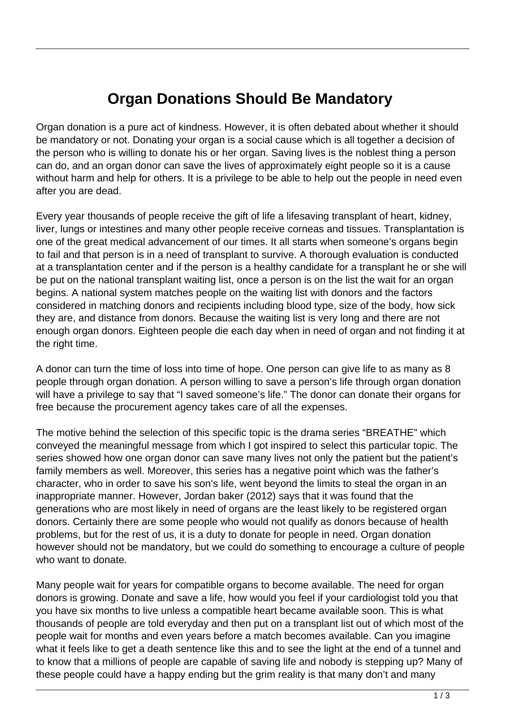## **Organ Donations Should Be Mandatory**

Organ donation is a pure act of kindness. However, it is often debated about whether it should be mandatory or not. Donating your organ is a social cause which is all together a decision of the person who is willing to donate his or her organ. Saving lives is the noblest thing a person can do, and an organ donor can save the lives of approximately eight people so it is a cause without harm and help for others. It is a privilege to be able to help out the people in need even after you are dead.

Every year thousands of people receive the gift of life a lifesaving transplant of heart, kidney, liver, lungs or intestines and many other people receive corneas and tissues. Transplantation is one of the great medical advancement of our times. It all starts when someone's organs begin to fail and that person is in a need of transplant to survive. A thorough evaluation is conducted at a transplantation center and if the person is a healthy candidate for a transplant he or she will be put on the national transplant waiting list, once a person is on the list the wait for an organ begins. A national system matches people on the waiting list with donors and the factors considered in matching donors and recipients including blood type, size of the body, how sick they are, and distance from donors. Because the waiting list is very long and there are not enough organ donors. Eighteen people die each day when in need of organ and not finding it at the right time.

A donor can turn the time of loss into time of hope. One person can give life to as many as 8 people through organ donation. A person willing to save a person's life through organ donation will have a privilege to say that "I saved someone's life." The donor can donate their organs for free because the procurement agency takes care of all the expenses.

The motive behind the selection of this specific topic is the drama series "BREATHE" which conveyed the meaningful message from which I got inspired to select this particular topic. The series showed how one organ donor can save many lives not only the patient but the patient's family members as well. Moreover, this series has a negative point which was the father's character, who in order to save his son's life, went beyond the limits to steal the organ in an inappropriate manner. However, Jordan baker (2012) says that it was found that the generations who are most likely in need of organs are the least likely to be registered organ donors. Certainly there are some people who would not qualify as donors because of health problems, but for the rest of us, it is a duty to donate for people in need. Organ donation however should not be mandatory, but we could do something to encourage a culture of people who want to donate.

Many people wait for years for compatible organs to become available. The need for organ donors is growing. Donate and save a life, how would you feel if your cardiologist told you that you have six months to live unless a compatible heart became available soon. This is what thousands of people are told everyday and then put on a transplant list out of which most of the people wait for months and even years before a match becomes available. Can you imagine what it feels like to get a death sentence like this and to see the light at the end of a tunnel and to know that a millions of people are capable of saving life and nobody is stepping up? Many of these people could have a happy ending but the grim reality is that many don't and many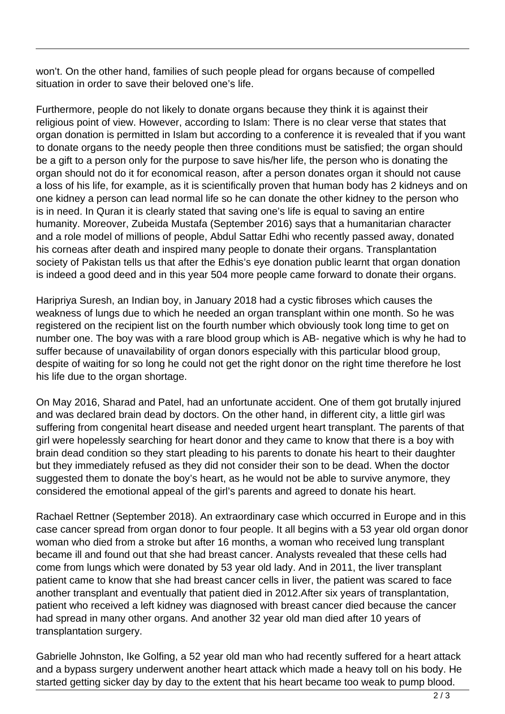won't. On the other hand, families of such people plead for organs because of compelled situation in order to save their beloved one's life.

Furthermore, people do not likely to donate organs because they think it is against their religious point of view. However, according to Islam: There is no clear verse that states that organ donation is permitted in Islam but according to a conference it is revealed that if you want to donate organs to the needy people then three conditions must be satisfied; the organ should be a gift to a person only for the purpose to save his/her life, the person who is donating the organ should not do it for economical reason, after a person donates organ it should not cause a loss of his life, for example, as it is scientifically proven that human body has 2 kidneys and on one kidney a person can lead normal life so he can donate the other kidney to the person who is in need. In Quran it is clearly stated that saving one's life is equal to saving an entire humanity. Moreover, Zubeida Mustafa (September 2016) says that a humanitarian character and a role model of millions of people, Abdul Sattar Edhi who recently passed away, donated his corneas after death and inspired many people to donate their organs. Transplantation society of Pakistan tells us that after the Edhis's eye donation public learnt that organ donation is indeed a good deed and in this year 504 more people came forward to donate their organs.

Haripriya Suresh, an Indian boy, in January 2018 had a cystic fibroses which causes the weakness of lungs due to which he needed an organ transplant within one month. So he was registered on the recipient list on the fourth number which obviously took long time to get on number one. The boy was with a rare blood group which is AB- negative which is why he had to suffer because of unavailability of organ donors especially with this particular blood group, despite of waiting for so long he could not get the right donor on the right time therefore he lost his life due to the organ shortage.

On May 2016, Sharad and Patel, had an unfortunate accident. One of them got brutally injured and was declared brain dead by doctors. On the other hand, in different city, a little girl was suffering from congenital heart disease and needed urgent heart transplant. The parents of that girl were hopelessly searching for heart donor and they came to know that there is a boy with brain dead condition so they start pleading to his parents to donate his heart to their daughter but they immediately refused as they did not consider their son to be dead. When the doctor suggested them to donate the boy's heart, as he would not be able to survive anymore, they considered the emotional appeal of the girl's parents and agreed to donate his heart.

Rachael Rettner (September 2018). An extraordinary case which occurred in Europe and in this case cancer spread from organ donor to four people. It all begins with a 53 year old organ donor woman who died from a stroke but after 16 months, a woman who received lung transplant became ill and found out that she had breast cancer. Analysts revealed that these cells had come from lungs which were donated by 53 year old lady. And in 2011, the liver transplant patient came to know that she had breast cancer cells in liver, the patient was scared to face another transplant and eventually that patient died in 2012.After six years of transplantation, patient who received a left kidney was diagnosed with breast cancer died because the cancer had spread in many other organs. And another 32 year old man died after 10 years of transplantation surgery.

Gabrielle Johnston, Ike Golfing, a 52 year old man who had recently suffered for a heart attack and a bypass surgery underwent another heart attack which made a heavy toll on his body. He started getting sicker day by day to the extent that his heart became too weak to pump blood.